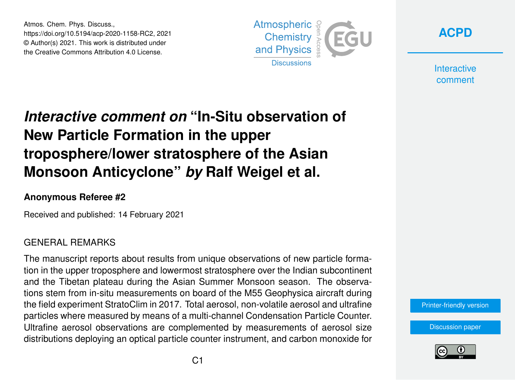Atmos. Chem. Phys. Discuss., https://doi.org/10.5194/acp-2020-1158-RC2, 2021 © Author(s) 2021. This work is distributed under the Creative Commons Attribution 4.0 License.





**Interactive** comment

# *Interactive comment on* **"In-Situ observation of New Particle Formation in the upper troposphere/lower stratosphere of the Asian Monsoon Anticyclone"** *by* **Ralf Weigel et al.**

## **Anonymous Referee #2**

Received and published: 14 February 2021

## GENERAL REMARKS

The manuscript reports about results from unique observations of new particle formation in the upper troposphere and lowermost stratosphere over the Indian subcontinent and the Tibetan plateau during the Asian Summer Monsoon season. The observations stem from in-situ measurements on board of the M55 Geophysica aircraft during the field experiment StratoClim in 2017. Total aerosol, non-volatile aerosol and ultrafine particles where measured by means of a multi-channel Condensation Particle Counter. Ultrafine aerosol observations are complemented by measurements of aerosol size distributions deploying an optical particle counter instrument, and carbon monoxide for



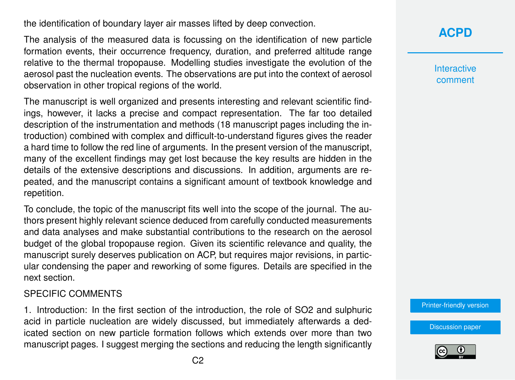the identification of boundary layer air masses lifted by deep convection.

The analysis of the measured data is focussing on the identification of new particle formation events, their occurrence frequency, duration, and preferred altitude range relative to the thermal tropopause. Modelling studies investigate the evolution of the aerosol past the nucleation events. The observations are put into the context of aerosol observation in other tropical regions of the world.

The manuscript is well organized and presents interesting and relevant scientific findings, however, it lacks a precise and compact representation. The far too detailed description of the instrumentation and methods (18 manuscript pages including the introduction) combined with complex and difficult-to-understand figures gives the reader a hard time to follow the red line of arguments. In the present version of the manuscript, many of the excellent findings may get lost because the key results are hidden in the details of the extensive descriptions and discussions. In addition, arguments are repeated, and the manuscript contains a significant amount of textbook knowledge and repetition.

To conclude, the topic of the manuscript fits well into the scope of the journal. The authors present highly relevant science deduced from carefully conducted measurements and data analyses and make substantial contributions to the research on the aerosol budget of the global tropopause region. Given its scientific relevance and quality, the manuscript surely deserves publication on ACP, but requires major revisions, in particular condensing the paper and reworking of some figures. Details are specified in the next section.

#### SPECIFIC COMMENTS

1. Introduction: In the first section of the introduction, the role of SO2 and sulphuric acid in particle nucleation are widely discussed, but immediately afterwards a dedicated section on new particle formation follows which extends over more than two manuscript pages. I suggest merging the sections and reducing the length significantly **[ACPD](https://acp.copernicus.org/preprints/)**

**Interactive** comment

[Printer-friendly version](https://acp.copernicus.org/preprints/acp-2020-1158/acp-2020-1158-RC2-print.pdf)

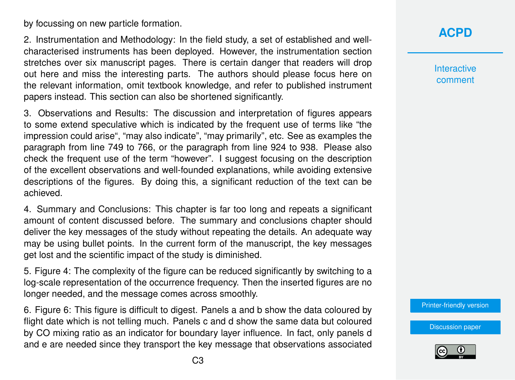by focussing on new particle formation.

2. Instrumentation and Methodology: In the field study, a set of established and wellcharacterised instruments has been deployed. However, the instrumentation section stretches over six manuscript pages. There is certain danger that readers will drop out here and miss the interesting parts. The authors should please focus here on the relevant information, omit textbook knowledge, and refer to published instrument papers instead. This section can also be shortened significantly.

3. Observations and Results: The discussion and interpretation of figures appears to some extend speculative which is indicated by the frequent use of terms like "the impression could arise", "may also indicate", "may primarily", etc. See as examples the paragraph from line 749 to 766, or the paragraph from line 924 to 938. Please also check the frequent use of the term "however". I suggest focusing on the description of the excellent observations and well-founded explanations, while avoiding extensive descriptions of the figures. By doing this, a significant reduction of the text can be achieved.

4. Summary and Conclusions: This chapter is far too long and repeats a significant amount of content discussed before. The summary and conclusions chapter should deliver the key messages of the study without repeating the details. An adequate way may be using bullet points. In the current form of the manuscript, the key messages get lost and the scientific impact of the study is diminished.

5. Figure 4: The complexity of the figure can be reduced significantly by switching to a log-scale representation of the occurrence frequency. Then the inserted figures are no longer needed, and the message comes across smoothly.

6. Figure 6: This figure is difficult to digest. Panels a and b show the data coloured by flight date which is not telling much. Panels c and d show the same data but coloured by CO mixing ratio as an indicator for boundary layer influence. In fact, only panels d and e are needed since they transport the key message that observations associated

# **[ACPD](https://acp.copernicus.org/preprints/)**

**Interactive** comment

[Printer-friendly version](https://acp.copernicus.org/preprints/acp-2020-1158/acp-2020-1158-RC2-print.pdf)